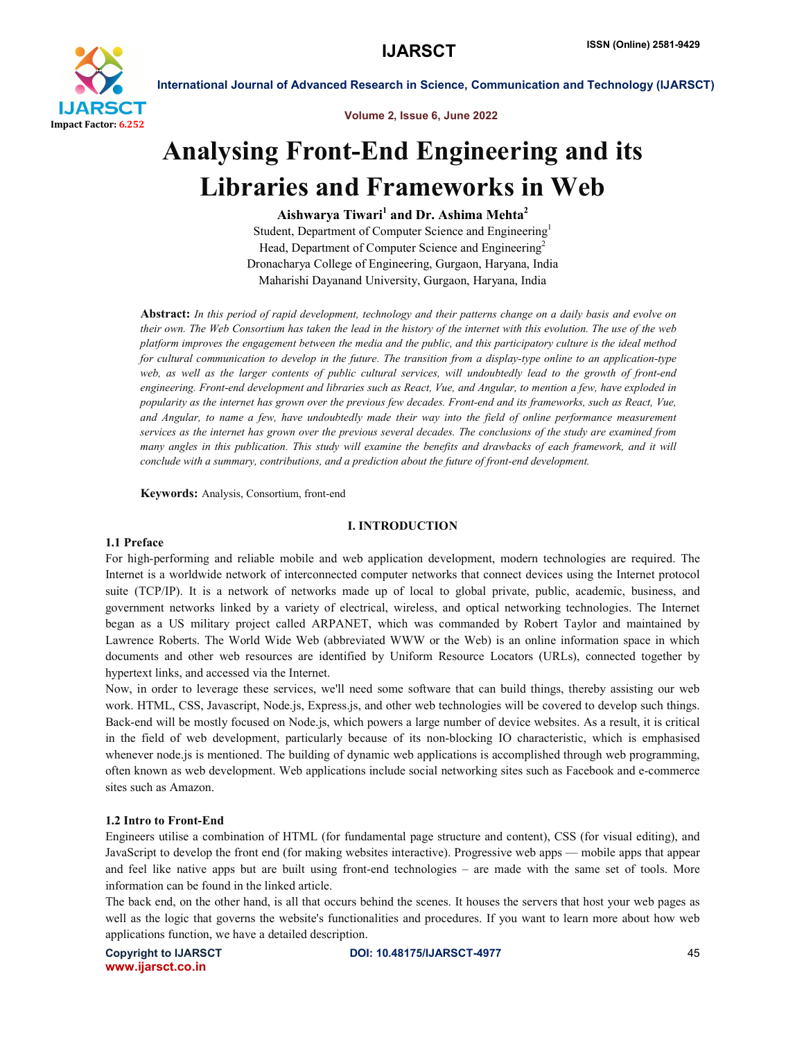

Volume 2, Issue 6, June 2022

# Analysing Front-End Engineering and its Libraries and Frameworks in Web

Aishwarya Tiwari<sup>1</sup> and Dr. Ashima Mehta<sup>2</sup> Student, Department of Computer Science and Engineering<sup>1</sup> Head, Department of Computer Science and Engineering<sup>2</sup> Dronacharya College of Engineering, Gurgaon, Haryana, India Maharishi Dayanand University, Gurgaon, Haryana, India

Abstract: *In this period of rapid development, technology and their patterns change on a daily basis and evolve on their own. The Web Consortium has taken the lead in the history of the internet with this evolution. The use of the web platform improves the engagement between the media and the public, and this participatory culture is the ideal method*  for cultural communication to develop in the future. The transition from a display-type online to an application-type *web, as well as the larger contents of public cultural services, will undoubtedly lead to the growth of front-end engineering. Front-end development and libraries such as React, Vue, and Angular, to mention a few, have exploded in popularity as the internet has grown over the previous few decades. Front-end and its frameworks, such as React, Vue, and Angular, to name a few, have undoubtedly made their way into the field of online performance measurement services as the internet has grown over the previous several decades. The conclusions of the study are examined from many angles in this publication. This study will examine the benefits and drawbacks of each framework, and it will conclude with a summary, contributions, and a prediction about the future of front-end development.*

Keywords: Analysis, Consortium, front-end

#### I. INTRODUCTION

#### 1.1 Preface

For high-performing and reliable mobile and web application development, modern technologies are required. The Internet is a worldwide network of interconnected computer networks that connect devices using the Internet protocol suite (TCP/IP). It is a network of networks made up of local to global private, public, academic, business, and government networks linked by a variety of electrical, wireless, and optical networking technologies. The Internet began as a US military project called ARPANET, which was commanded by Robert Taylor and maintained by Lawrence Roberts. The World Wide Web (abbreviated WWW or the Web) is an online information space in which documents and other web resources are identified by Uniform Resource Locators (URLs), connected together by hypertext links, and accessed via the Internet.

Now, in order to leverage these services, we'll need some software that can build things, thereby assisting our web work. HTML, CSS, Javascript, Node.js, Express.js, and other web technologies will be covered to develop such things. Back-end will be mostly focused on Node.js, which powers a large number of device websites. As a result, it is critical in the field of web development, particularly because of its non-blocking IO characteristic, which is emphasised whenever node.js is mentioned. The building of dynamic web applications is accomplished through web programming, often known as web development. Web applications include social networking sites such as Facebook and e-commerce sites such as Amazon.

### 1.2 Intro to Front-End

Engineers utilise a combination of HTML (for fundamental page structure and content), CSS (for visual editing), and JavaScript to develop the front end (for making websites interactive). Progressive web apps — mobile apps that appear and feel like native apps but are built using front-end technologies – are made with the same set of tools. More information can be found in the linked article.

The back end, on the other hand, is all that occurs behind the scenes. It houses the servers that host your web pages as well as the logic that governs the website's functionalities and procedures. If you want to learn more about how web applications function, we have a detailed description.

www.ijarsct.co.in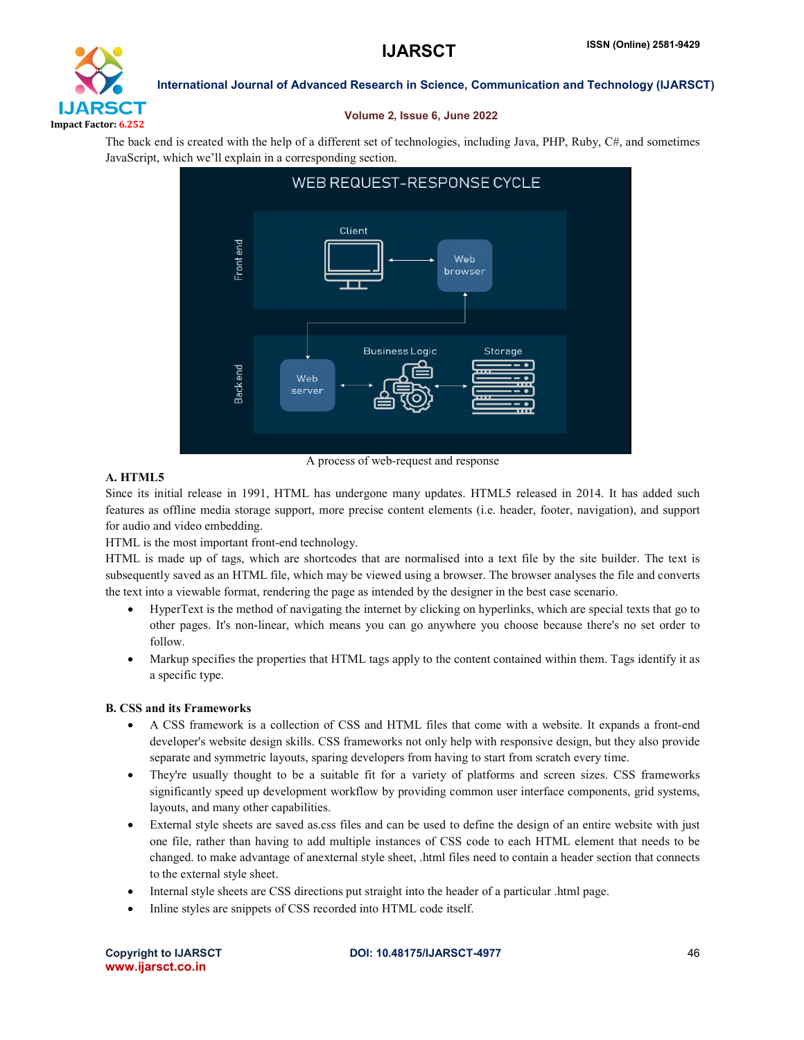

### Volume 2, Issue 6, June 2022

The back end is created with the help of a different set of technologies, including Java, PHP, Ruby, C#, and sometimes JavaScript, which we'll explain in a corresponding section.



### A. HTML5

Since its initial release in 1991, HTML has undergone many updates. HTML5 released in 2014. It has added such features as offline media storage support, more precise content elements (i.e. header, footer, navigation), and support for audio and video embedding.

HTML is the most important front-end technology.

HTML is made up of tags, which are shortcodes that are normalised into a text file by the site builder. The text is subsequently saved as an HTML file, which may be viewed using a browser. The browser analyses the file and converts the text into a viewable format, rendering the page as intended by the designer in the best case scenario.

- HyperText is the method of navigating the internet by clicking on hyperlinks, which are special texts that go to other pages. It's non-linear, which means you can go anywhere you choose because there's no set order to follow.
- Markup specifies the properties that HTML tags apply to the content contained within them. Tags identify it as a specific type.

### B. CSS and its Frameworks

- A CSS framework is a collection of CSS and HTML files that come with a website. It expands a front-end developer's website design skills. CSS frameworks not only help with responsive design, but they also provide separate and symmetric layouts, sparing developers from having to start from scratch every time.
- They're usually thought to be a suitable fit for a variety of platforms and screen sizes. CSS frameworks significantly speed up development workflow by providing common user interface components, grid systems, layouts, and many other capabilities.
- External style sheets are saved as.css files and can be used to define the design of an entire website with just one file, rather than having to add multiple instances of CSS code to each HTML element that needs to be changed. to make advantage of anexternal style sheet, .html files need to contain a header section that connects to the external style sheet.
- Internal style sheets are CSS directions put straight into the header of a particular .html page.
- Inline styles are snippets of CSS recorded into HTML code itself.

www.ijarsct.co.in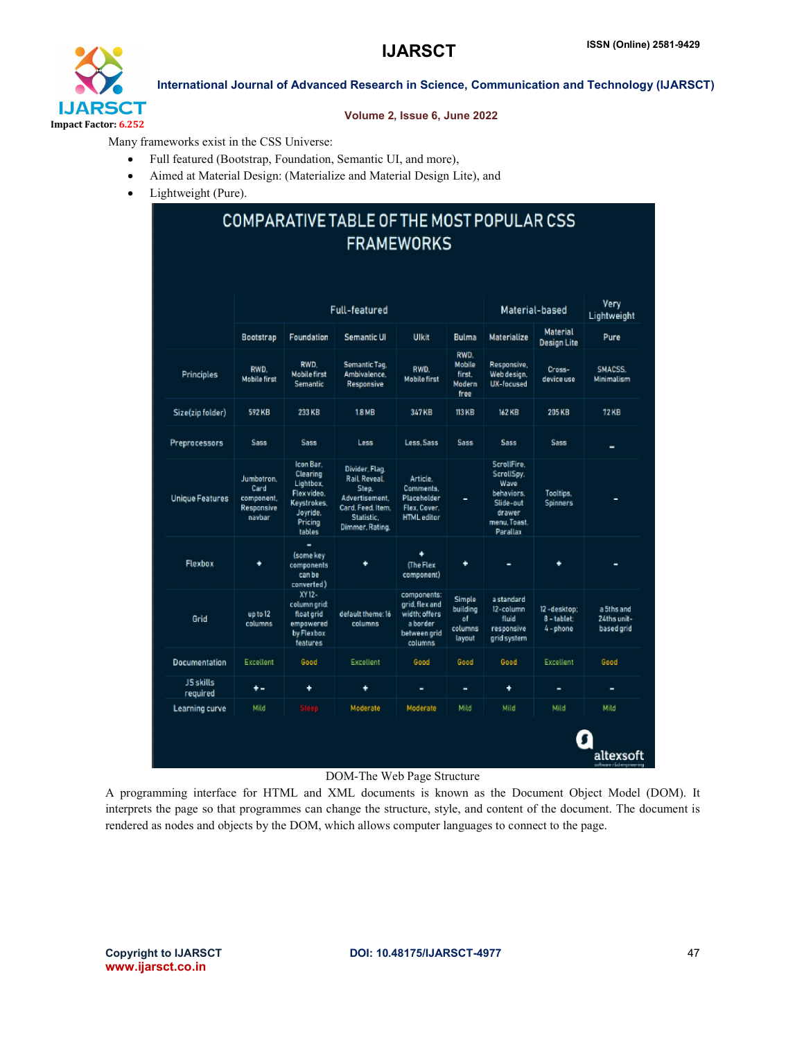

#### Volume 2, Issue 6, June 2022

Many frameworks exist in the CSS Universe:

- Full featured (Bootstrap, Foundation, Semantic UI, and more),
- Aimed at Material Design: (Materialize and Material Design Lite), and
- Lightweight (Pure).

# COMPARATIVE TABLE OF THE MOST POPULAR CSS **FRAMEWORKS**

|                              | Full-featured                                            |                                                                                                   |                                                                                                                 |                                                                                       |                                               | Material-based                                                                                     |                                       | Very<br>Lightweight                     |
|------------------------------|----------------------------------------------------------|---------------------------------------------------------------------------------------------------|-----------------------------------------------------------------------------------------------------------------|---------------------------------------------------------------------------------------|-----------------------------------------------|----------------------------------------------------------------------------------------------------|---------------------------------------|-----------------------------------------|
|                              | <b>Bootstrap</b>                                         | Foundation                                                                                        | Semantic UI                                                                                                     | Ulkit                                                                                 | <b>Bulma</b>                                  | Materialize                                                                                        | <b>Material</b><br><b>Design Lite</b> | Pure                                    |
| Principles                   | RWD.<br><b>Mobile first</b>                              | RWD.<br><b>Mobile first</b><br><b>Semantic</b>                                                    | Semantic Tag,<br>Ambivalence.<br>Responsive                                                                     | RWD.<br><b>Mobile first</b>                                                           | RWD.<br>Mobile<br>first.<br>Modern<br>free    | Responsive.<br>Web design.<br>UX-facused                                                           | Cross-<br>device use                  | SMACSS.<br>Minimalism                   |
| Size(zip folder)             | 592 KB                                                   | 233 KB                                                                                            | <b>18MB</b>                                                                                                     | 347 KB                                                                                | <b>113 KB</b>                                 | 162 KB                                                                                             | 205 KB                                | <b>72KB</b>                             |
| Preprocessors                | <b>Sass</b>                                              | <b>Sass</b>                                                                                       | Less                                                                                                            | Less. Sass                                                                            | Sass                                          | <b>Sass</b>                                                                                        | Sass                                  | -                                       |
| <b>Unique Features</b>       | Jumbotron.<br>Card<br>component,<br>Responsive<br>navbar | Icon Bar.<br>Clearing<br>Lightbox.<br>Flex video.<br>Keystrokes,<br>Joyride,<br>Pricing<br>tables | Divider, Flag.<br>Rail Reveal.<br>Step.<br>Advertisement.<br>Card, Feed, Item,<br>Statistic.<br>Dimmer, Rating, | Article.<br>Comments.<br>Placeholder<br>Flex, Cover.<br><b>HTML</b> editor            | ۰                                             | ScrollFire.<br>ScrollSpy.<br>Wave<br>behaviors.<br>Slide-out<br>drawer<br>menu. Toast.<br>Parallax | Tooltips.<br><b>Spinners</b>          | ٠                                       |
| Flexbox                      | ٠                                                        | -<br>(some key<br>components<br>can be<br>converted)                                              | ٠                                                                                                               | ۰<br>(The Flex<br>component)                                                          | ٠                                             | -                                                                                                  | ۰                                     |                                         |
| Grid                         | up to 12<br>columns                                      | XY12-<br>column grid:<br>float grid<br>empowered<br>by Flexbox<br>features                        | default theme: 16<br>columns                                                                                    | components:<br>grid, flex and<br>width: offers<br>a border<br>between grid<br>columns | Simple<br>building<br>of<br>columns<br>layout | a standard<br>12-column<br>fluid<br>responsive<br>grid system                                      | 12-desktop:<br>8-tablet:<br>4 - phone | a 5ths and<br>24ths unit-<br>based grid |
| <b>Documentation</b>         | Excellent                                                | Good                                                                                              | Excellent                                                                                                       | Good                                                                                  | Good                                          | Good                                                                                               | Excellent                             | Good                                    |
| <b>JS</b> skills<br>required | ٠.                                                       | ۰                                                                                                 | ٠                                                                                                               | ٠                                                                                     | ۰                                             | ۰                                                                                                  | ٠                                     | ٠                                       |
|                              | Mild                                                     | Steep                                                                                             | Moderate                                                                                                        | Moderate                                                                              | Mild                                          | Mild                                                                                               | Mild                                  | Mild                                    |

#### DOM-The Web Page Structure

A programming interface for HTML and XML documents is known as the Document Object Model (DOM). It interprets the page so that programmes can change the structure, style, and content of the document. The document is rendered as nodes and objects by the DOM, which allows computer languages to connect to the page.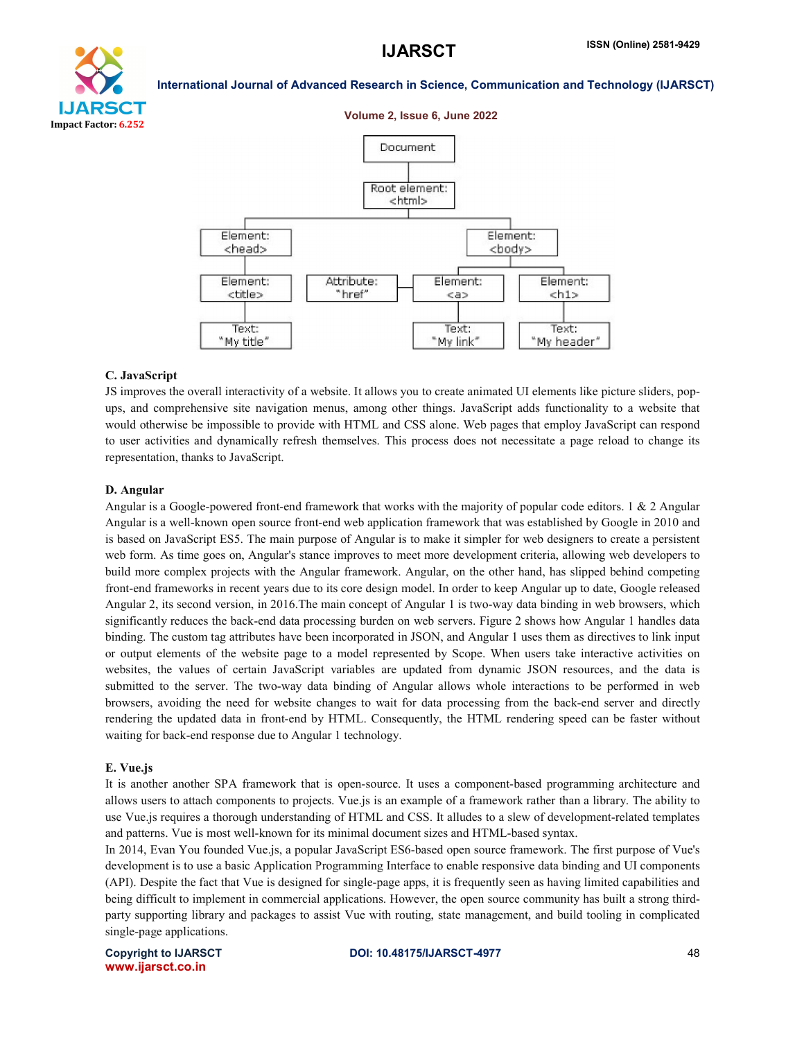

## **IJARSCT**

#### International Journal of Advanced Research in Science, Communication and Technology (IJARSCT)

Volume 2, Issue 6, June 2022



#### C. JavaScript

JS improves the overall interactivity of a website. It allows you to create animated UI elements like picture sliders, pop-JS improves the overall interactivity of a website. It allows you to create animated UI elements like picture sliders, pop-<br>ups, and comprehensive site navigation menus, among other things. JavaScript adds functionality to would otherwise be impossible to provide with HTML and CSS alone. Web pages that employ JavaScript can respond would otherwise be impossible to provide with HTML and CSS alone. Web pages that employ JavaScript can respond<br>to user activities and dynamically refresh themselves. This process does not necessitate a page reload to chang representation, thanks to JavaScript.

#### D. Angular

Angular is a Google-powered front-end framework that works with the majority of popular code editors. 1 & 2 Angular<br>Angular is a well-known open source front-end web application framework that was established by Google in Angular is a well-known open source front-end web application framework that was established by Google in 2010 and is based on JavaScript ES5. The main purpose of Angular is to make it simpler for web designers to create a persistent web form. As time goes on, Angular's stance improves to meet more development criteria, allowing web developers to build more complex projects with the Angular framework. Angular, on the other hand, has slipped behind competing build more complex projects with the Angular framework. Angular, on the other hand, has slipped behind competing<br>front-end frameworks in recent years due to its core design model. In order to keep Angular up to date, Googl Angular 2, its second version, in 2016. The main concept of Angular 1 is two-way data binding in web browsers, which significantly reduces the back-end data processing burden on web servers. Figure 2 shows how Angular 1 handles data<br>binding. The custom tag attributes have been incorporated in JSON, and Angular 1 uses them as directives t binding. The custom tag attributes have been incorporated in JSON, and Angular 1 uses them as directives to link input or output elements of the website page to a model represented by Scope. When users take interactiv binding. The custom tag attributes have been incorporated in JSON, and Angular 1 uses them as directives to link input<br>or output elements of the website page to a model represented by Scope. When users take interactive act submitted to the server. The two-way data binding of Angular allows whole interactions to be performed in web submitted to the server. The two-way data binding of Angular allows whole interactions to be performed in web<br>browsers, avoiding the need for website changes to wait for data processing from the back-end server and directl rendering the updated data in front-end by HTML. Consequently, the HTML rendering speed can be faster without waiting for back-end response due to Angular 1 technology. waiting for back-end response due to Angular 1 technology. If source front-end web application framework that was established by Google in 2010 and<br>the main purpose of Angular is to make it simpler for web designers to create a persistent<br>ngular's stance improves to meet more deve

#### E. Vue.js

It is another another SPA framework that is open-source. It uses a component-based programming architecture and allows users to attach components to projects. Vue is is an example of a framework rather than a library. The ability to use Vue.js requires a thorough understanding of HTML and CSS. It alludes to a slew of development-related templates and patterns. Vue is most well-known for its minimal document sizes and HTML-based syntax. based programming architecture and<br>rk rather than a library. The ability to<br>lew of development-related templates

In 2014, Evan You founded Vue.js, a popular JavaScript ES6-based open source framework. The first purpose of Vue's development is to use a basic Application Programming Interface to enable responsive data binding and UI components (API). Despite the fact that Vue is designed for single-page apps, it is frequently seen as having limited capabilities and being difficult to implement in commercial applications. However, the open source community has built a strong thirdparty supporting library and packages to assist Vue with routing, state management, and build tooling in complicated single-page applications.

Copyright to IJARSCT www.ijarsct.co.in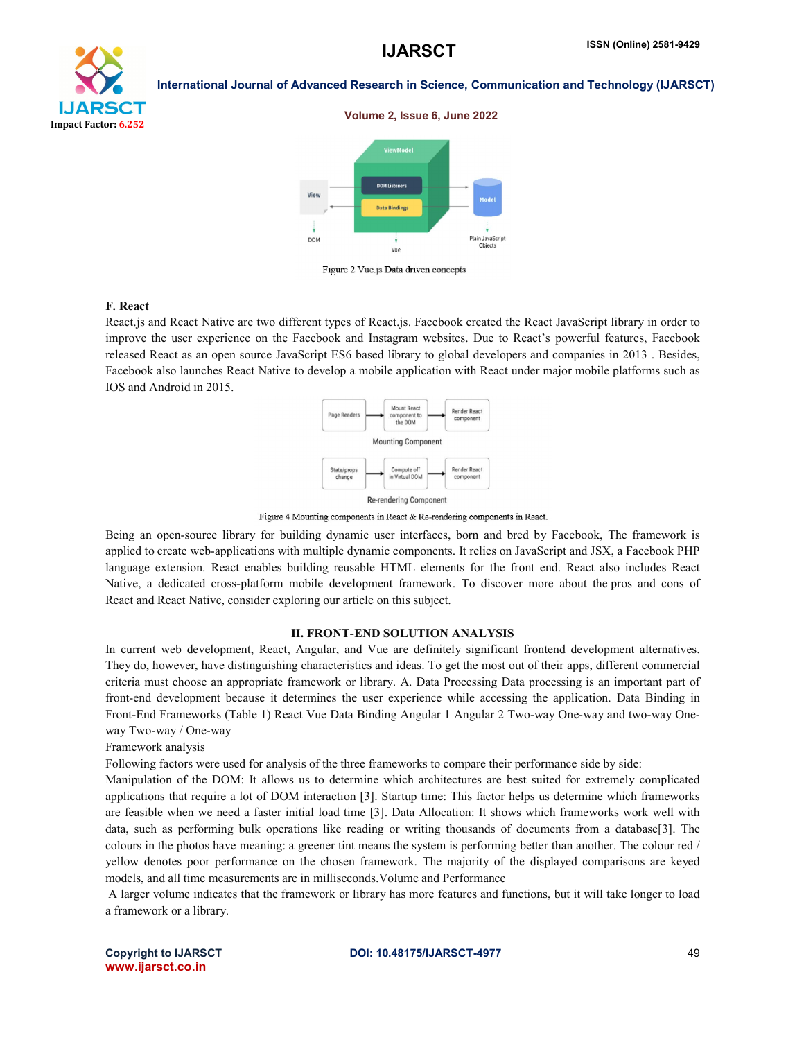

#### Volume 2, Issue 6, June 2022



Figure 2 Vue.js Data driven concepts

#### F. React

React.js and React Native are two different types of React.js. Facebook created the React JavaScript library in order to improve the user experience on the Facebook and Instagram websites. Due to React's powerful features, Facebook released React as an open source JavaScript ES6 based library to global developers and companies in 2013 . Besides, Facebook also launches React Native to develop a mobile application with React under major mobile platforms such as IOS and Android in 2015.



Figure 4 Mounting components in React & Re-rendering components in React.

Being an open-source library for building dynamic user interfaces, born and bred by Facebook, The framework is applied to create web-applications with multiple dynamic components. It relies on JavaScript and JSX, a Facebook PHP language extension. React enables building reusable HTML elements for the front end. React also includes React Native, a dedicated cross-platform mobile development framework. To discover more about the pros and cons of React and React Native, consider exploring our article on this subject.

#### II. FRONT-END SOLUTION ANALYSIS

In current web development, React, Angular, and Vue are definitely significant frontend development alternatives. They do, however, have distinguishing characteristics and ideas. To get the most out of their apps, different commercial criteria must choose an appropriate framework or library. A. Data Processing Data processing is an important part of front-end development because it determines the user experience while accessing the application. Data Binding in Front-End Frameworks (Table 1) React Vue Data Binding Angular 1 Angular 2 Two-way One-way and two-way Oneway Two-way / One-way

Framework analysis

Following factors were used for analysis of the three frameworks to compare their performance side by side:

Manipulation of the DOM: It allows us to determine which architectures are best suited for extremely complicated applications that require a lot of DOM interaction [3]. Startup time: This factor helps us determine which frameworks are feasible when we need a faster initial load time [3]. Data Allocation: It shows which frameworks work well with data, such as performing bulk operations like reading or writing thousands of documents from a database[3]. The colours in the photos have meaning: a greener tint means the system is performing better than another. The colour red / yellow denotes poor performance on the chosen framework. The majority of the displayed comparisons are keyed models, and all time measurements are in milliseconds.Volume and Performance

A larger volume indicates that the framework or library has more features and functions, but it will take longer to load a framework or a library.